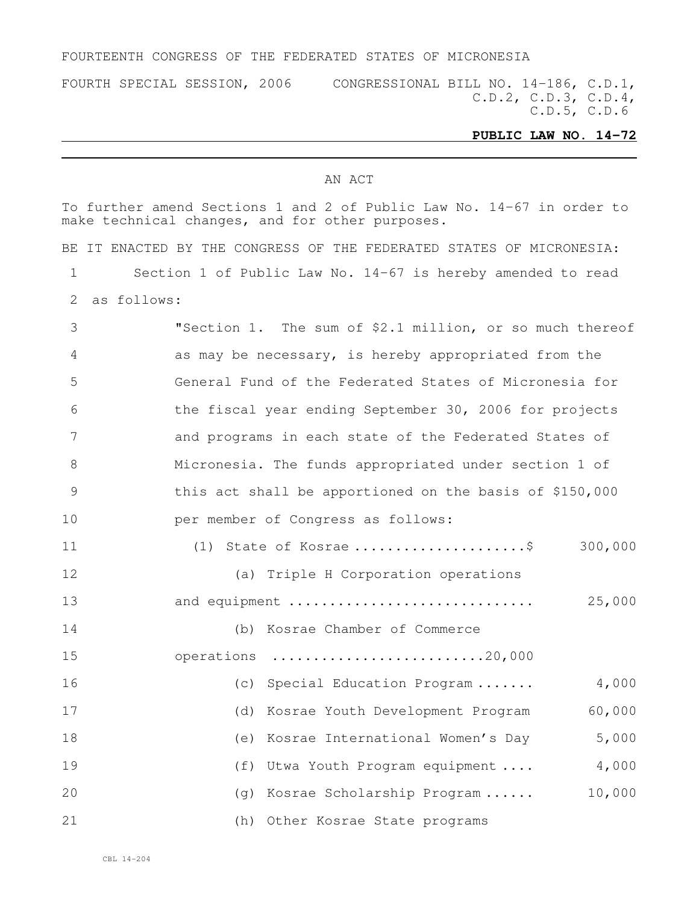### FOURTEENTH CONGRESS OF THE FEDERATED STATES OF MICRONESIA

FOURTH SPECIAL SESSION, 2006 CONGRESSIONAL BILL NO. 14-186, C.D.1, C.D.2, C.D.3, C.D.4, C.D.5, C.D.6

# **PUBLIC LAW NO. 14-72**

### AN ACT

|    | To further amend Sections 1 and 2 of Public Law No. 14-67 in order to<br>make technical changes, and for other purposes. |
|----|--------------------------------------------------------------------------------------------------------------------------|
|    | BE IT ENACTED BY THE CONGRESS OF THE FEDERATED STATES OF MICRONESIA:                                                     |
| 1  | Section 1 of Public Law No. 14-67 is hereby amended to read                                                              |
| 2  | as follows:                                                                                                              |
| 3  | "Section 1. The sum of \$2.1 million, or so much thereof                                                                 |
| 4  | as may be necessary, is hereby appropriated from the                                                                     |
| 5  | General Fund of the Federated States of Micronesia for                                                                   |
| 6  | the fiscal year ending September 30, 2006 for projects                                                                   |
| 7  | and programs in each state of the Federated States of                                                                    |
| 8  | Micronesia. The funds appropriated under section 1 of                                                                    |
| 9  | this act shall be apportioned on the basis of \$150,000                                                                  |
| 10 | per member of Congress as follows:                                                                                       |
| 11 | (1) State of Kosrae \$<br>300,000                                                                                        |
| 12 | (a) Triple H Corporation operations                                                                                      |
| 13 | 25,000<br>and equipment                                                                                                  |
| 14 | (b) Kosrae Chamber of Commerce                                                                                           |
| 15 | operations 20,000                                                                                                        |
| 16 | (c) Special Education Program<br>4,000                                                                                   |
| 17 | (d)<br>Kosrae Youth Development Program<br>60,000                                                                        |
| 18 | 5,000<br>Kosrae International Women's Day<br>(e)                                                                         |
| 19 | 4,000<br>Utwa Youth Program equipment<br>(f)                                                                             |
| 20 | 10,000<br>Kosrae Scholarship Program<br>(g)                                                                              |
| 21 | (h)<br>Other Kosrae State programs                                                                                       |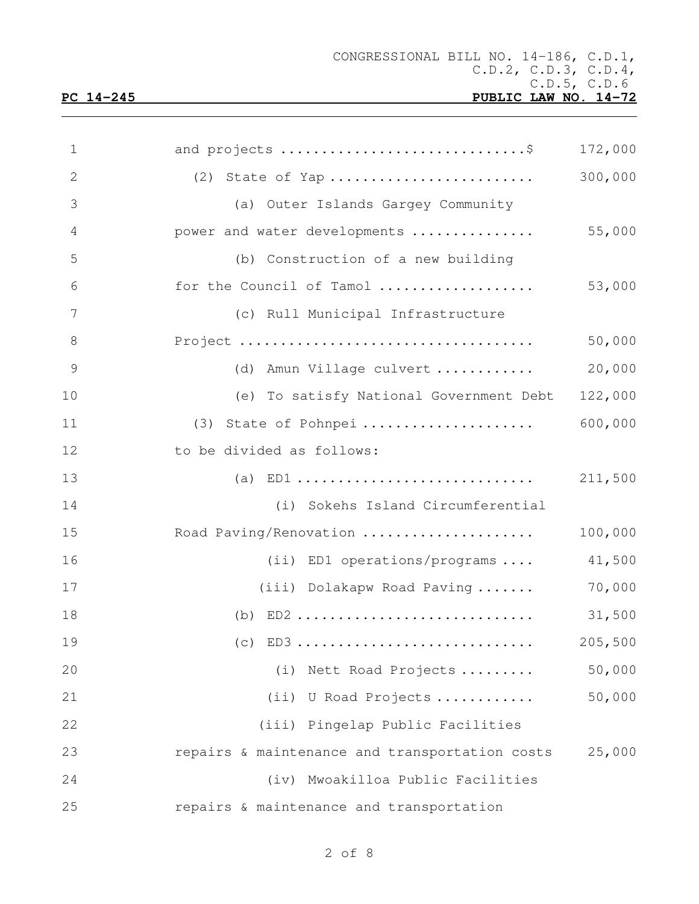| $\mathbf 1$    | and projects \$                                | 172,000 |
|----------------|------------------------------------------------|---------|
| $\mathbf{2}$   | $(2)$ State of Yap                             | 300,000 |
| 3              | (a) Outer Islands Gargey Community             |         |
| $\overline{4}$ | power and water developments                   | 55,000  |
| 5              | (b) Construction of a new building             |         |
| 6              | for the Council of Tamol                       | 53,000  |
| 7              | (c) Rull Municipal Infrastructure              |         |
| $\,8\,$        |                                                | 50,000  |
| 9              | (d) Amun Village culvert                       | 20,000  |
| 10             | (e) To satisfy National Government Debt        | 122,000 |
| 11             | (3) State of Pohnpei                           | 600,000 |
| 12             | to be divided as follows:                      |         |
| 13             |                                                | 211,500 |
| 14             | (i) Sokehs Island Circumferential              |         |
| 15             | Road Paving/Renovation                         | 100,000 |
| 16             | $(ii)$ ED1 operations/programs                 | 41,500  |
| 17             | (iii) Dolakapw Road Paving                     | 70,000  |
| 18             | (b) $ED2$                                      | 31,500  |
| 19             | $(c)$ ED3                                      | 205,500 |
| 20             | (i) Nett Road Projects                         | 50,000  |
| 21             | (ii) U Road Projects                           | 50,000  |
| 22             | (iii) Pingelap Public Facilities               |         |
| 23             | repairs & maintenance and transportation costs | 25,000  |
| 24             | (iv) Mwoakilloa Public Facilities              |         |
| 25             | repairs & maintenance and transportation       |         |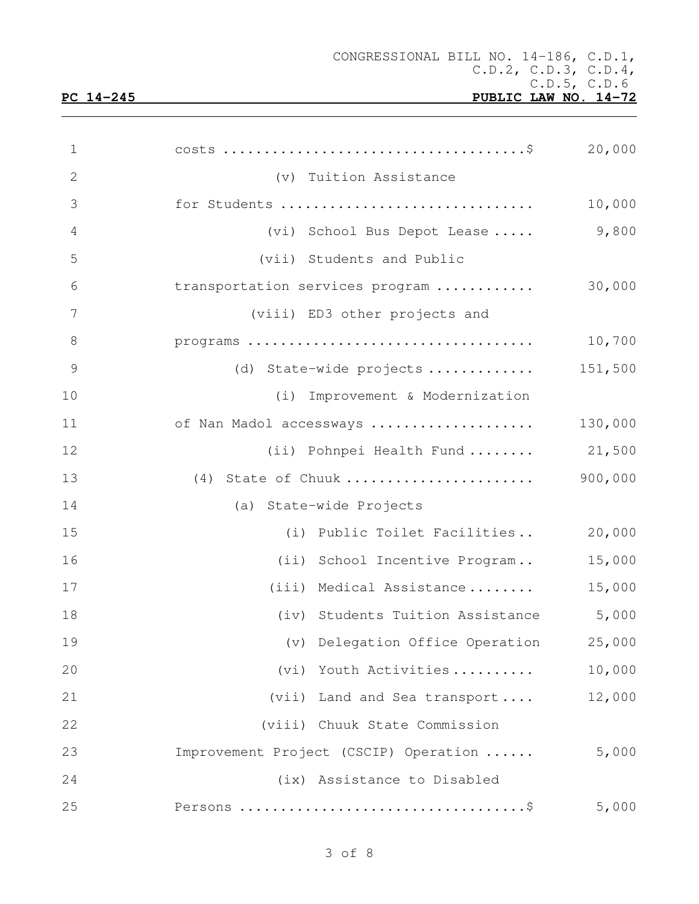CONGRESSIONAL BILL NO. 14-186, C.D.1, C.D.2, C.D.3, C.D.4, C.D.5, C.D.6<br>PUBLIC LAW NO. 14-72

## **PC** 14-245

| $\mathbf 1$    |                                       | 20,000  |
|----------------|---------------------------------------|---------|
| $\mathbf{2}$   | (v) Tuition Assistance                |         |
| 3              | for Students                          | 10,000  |
| $\overline{4}$ | (vi) School Bus Depot Lease           | 9,800   |
| 5              | (vii) Students and Public             |         |
| 6              | transportation services program       | 30,000  |
| 7              | (viii) ED3 other projects and         |         |
| 8              |                                       | 10,700  |
| $\mathcal{G}$  | (d) State-wide projects               | 151,500 |
| 10             | (i) Improvement & Modernization       |         |
| 11             | of Nan Madol accessways               | 130,000 |
| 12             | (ii) Pohnpei Health Fund  21,500      |         |
| 13             | (4) State of Chuuk                    | 900,000 |
| 14             | (a) State-wide Projects               |         |
| 15             | (i) Public Toilet Facilities          | 20,000  |
| 16             | (ii) School Incentive Program         | 15,000  |
| 17             | (iii) Medical Assistance              | 15,000  |
| 18             | (iv) Students Tuition Assistance      | 5,000   |
| 19             | (v) Delegation Office Operation       | 25,000  |
| 20             | (vi) Youth Activities                 | 10,000  |
| 21             | (vii) Land and Sea transport          | 12,000  |
| 22             | (viii) Chuuk State Commission         |         |
| 23             | Improvement Project (CSCIP) Operation | 5,000   |
| 24             | (ix) Assistance to Disabled           |         |
| 25             |                                       | 5,000   |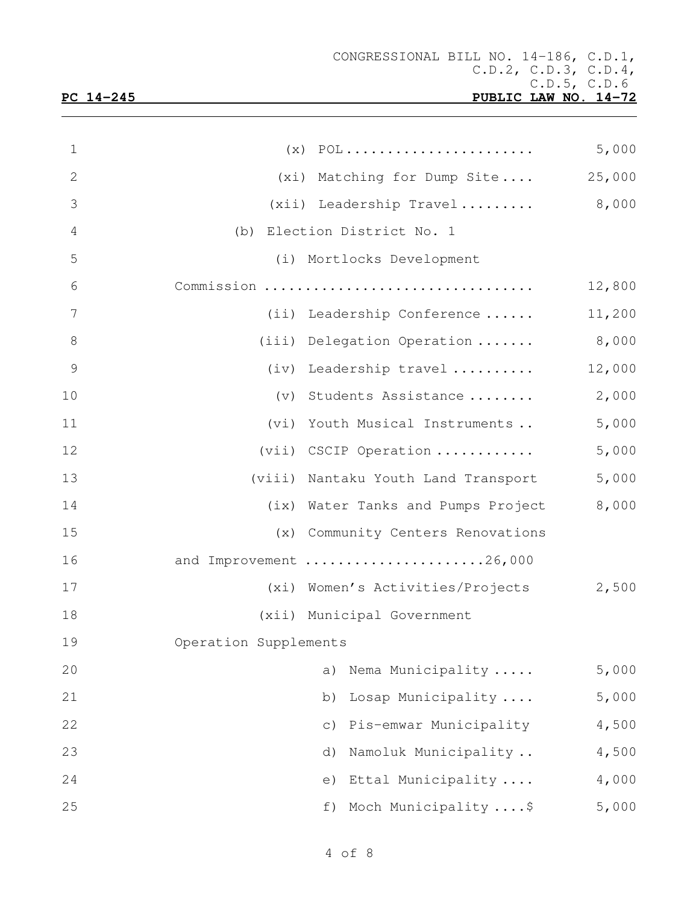| $\mathbf 1$     |                                     | 5,000  |
|-----------------|-------------------------------------|--------|
| $\mathbf{2}$    | (xi) Matching for Dump Site         | 25,000 |
| 3               | (xii) Leadership Travel             | 8,000  |
| $\overline{4}$  | (b) Election District No. 1         |        |
| 5               | (i) Mortlocks Development           |        |
| 6               | Commission                          | 12,800 |
| $7\phantom{.0}$ | (ii) Leadership Conference          | 11,200 |
| $8\,$           | (iii) Delegation Operation          | 8,000  |
| $\mathcal{G}$   | (iv) Leadership travel              | 12,000 |
| 10              | (v) Students Assistance             | 2,000  |
| 11              | (vi) Youth Musical Instruments      | 5,000  |
| 12              | (vii) CSCIP Operation               | 5,000  |
| 13              | (viii) Nantaku Youth Land Transport | 5,000  |
| 14              | (ix) Water Tanks and Pumps Project  | 8,000  |
| 15              | (x) Community Centers Renovations   |        |
| 16              | and Improvement 26,000              |        |
| 17              | (xi) Women's Activities/Projects    | 2,500  |
| 18              | (xii) Municipal Government          |        |
| 19              | Operation Supplements               |        |
| 20              | Nema Municipality<br>a)             | 5,000  |
| 21              | Losap Municipality<br>b)            | 5,000  |
| 22              | Pis-emwar Municipality<br>$\circ$ ) | 4,500  |
| 23              | Namoluk Municipality<br>d)          | 4,500  |
| 24              | Ettal Municipality<br>e)            | 4,000  |
| 25              | Moch Municipality  \$<br>f)         | 5,000  |
|                 |                                     |        |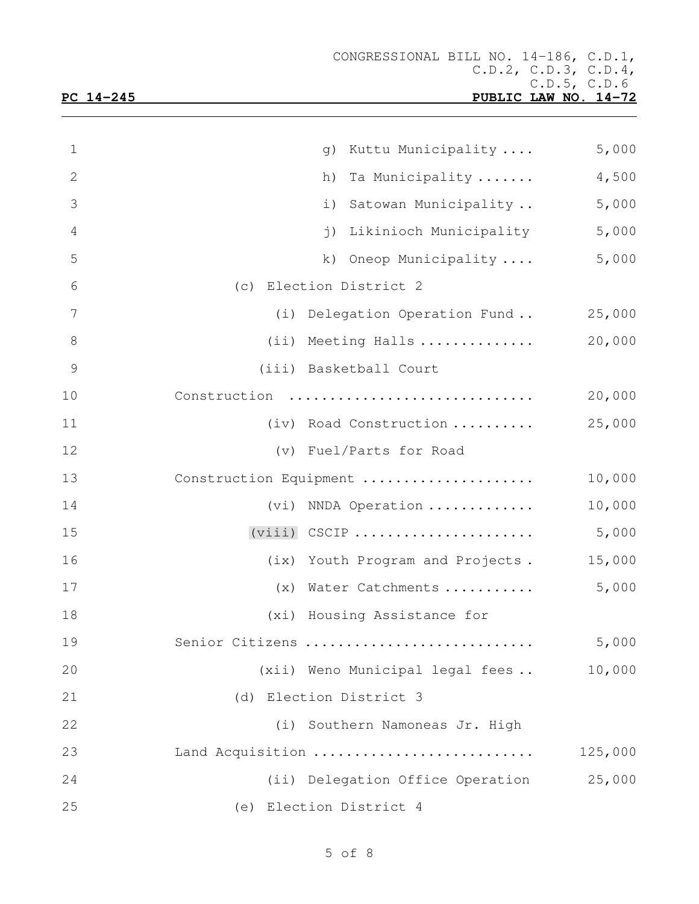|--|

| 1               | Kuttu Municipality<br>q)                | 5,000   |
|-----------------|-----------------------------------------|---------|
| $\mathbf{2}$    | Ta Municipality<br>h)                   | 4,500   |
| 3               | Satowan Municipality<br>i)              | 5,000   |
| $\overline{4}$  | Likinioch Municipality<br>$\dot{1}$ )   | 5,000   |
| 5               | Oneop Municipality<br>k)                | 5,000   |
| 6               | (c) Election District 2                 |         |
| $7\phantom{.0}$ | (i) Delegation Operation Fund           | 25,000  |
| $\,8\,$         | (ii) Meeting Halls                      | 20,000  |
| $\mathcal{G}$   | (iii) Basketball Court                  |         |
| 10              | Construction                            | 20,000  |
| 11              | (iv) Road Construction                  | 25,000  |
| 12              | (v) Fuel/Parts for Road                 |         |
| 13              | Construction Equipment                  | 10,000  |
| 14              | (vi) NNDA Operation                     | 10,000  |
| 15              | $(viii)$ CSCIP                          | 5,000   |
| 16              | (ix) Youth Program and Projects.        | 15,000  |
| 17              | (x) Water Catchments                    | 5,000   |
| 18              | (xi) Housing Assistance for             |         |
| 19              | Senior Citizens                         | 5,000   |
| 20              | (xii) Weno Municipal legal fees         | 10,000  |
| 21              | (d) Election District 3                 |         |
| 22              | (i) Southern Namoneas Jr. High          |         |
| 23              | Land Acquisition                        | 125,000 |
| 24              | (ii) Delegation Office Operation 25,000 |         |
| 25              | (e) Election District 4                 |         |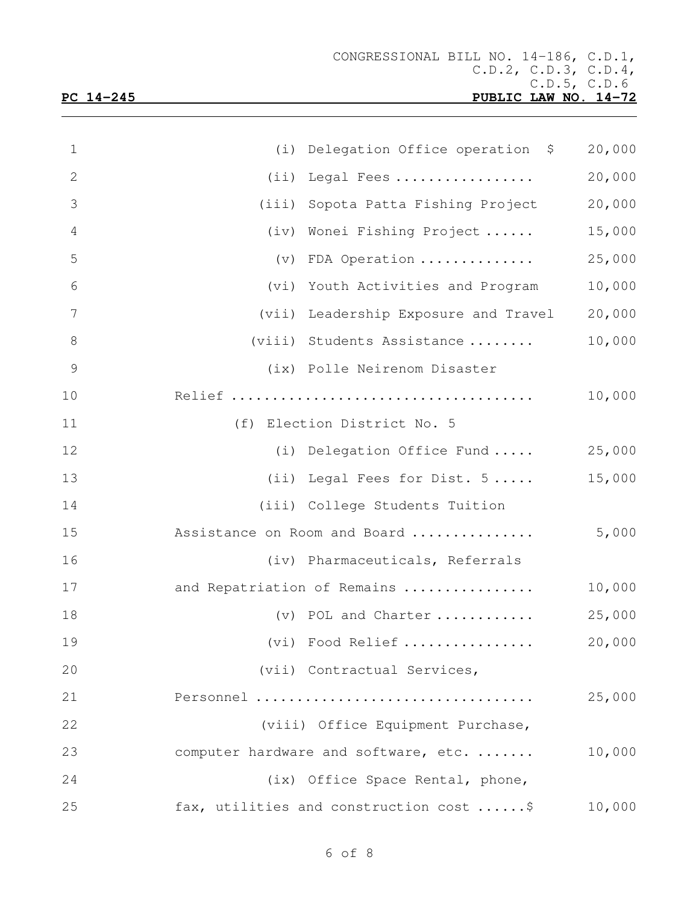| $\mathbf 1$    | (i) Delegation Office operation \$      | 20,000 |
|----------------|-----------------------------------------|--------|
| $\overline{2}$ | Legal Fees<br>(i)                       | 20,000 |
| 3              | (iii) Sopota Patta Fishing Project      | 20,000 |
| $\overline{4}$ | (iv) Wonei Fishing Project              | 15,000 |
| 5              | (v) FDA Operation                       | 25,000 |
| 6              | (vi) Youth Activities and Program       | 10,000 |
| 7              | (vii) Leadership Exposure and Travel    | 20,000 |
| 8              | (viii) Students Assistance              | 10,000 |
| $\mathcal{G}$  | (ix) Polle Neirenom Disaster            |        |
| 10             |                                         | 10,000 |
| 11             | (f) Election District No. 5             |        |
| 12             | (i) Delegation Office Fund              | 25,000 |
| 13             | (ii) Legal Fees for Dist. 5             | 15,000 |
| 14             | (iii) College Students Tuition          |        |
| 15             | Assistance on Room and Board            | 5,000  |
| 16             | (iv) Pharmaceuticals, Referrals         |        |
| 17             | and Repatriation of Remains             | 10,000 |
| 18             | (v) POL and Charter                     | 25,000 |
| 19             | (vi) Food Relief                        | 20,000 |
| 20             | (vii) Contractual Services,             |        |
| 21             | Personnel                               | 25,000 |
| 22             | (viii) Office Equipment Purchase,       |        |
| 23             | computer hardware and software, etc.    | 10,000 |
| 24             | (ix) Office Space Rental, phone,        |        |
| 25             | fax, utilities and construction cost \$ | 10,000 |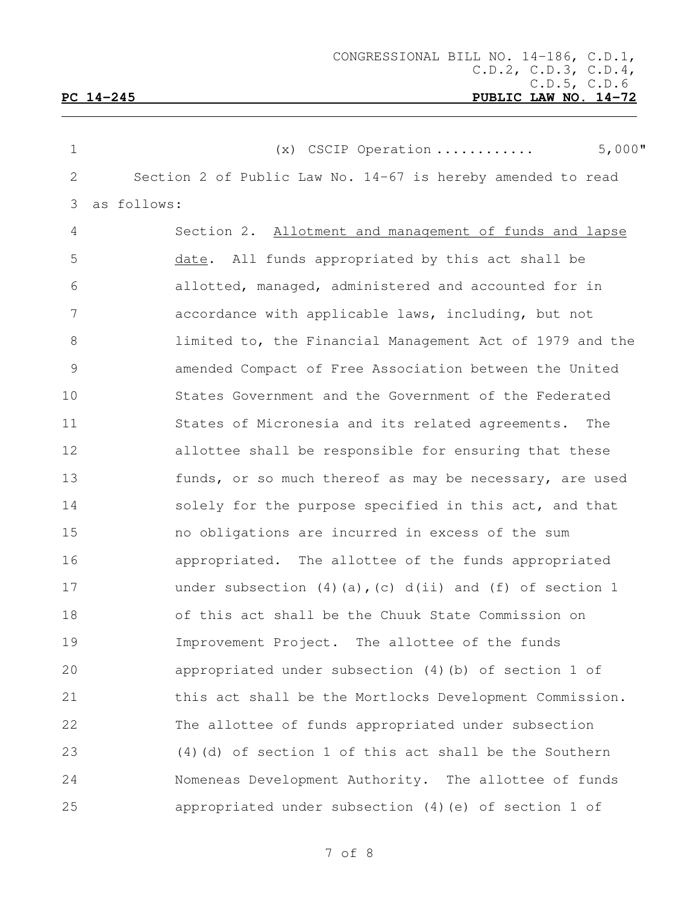| $\mathbf 1$ | $5,000$ "<br>$(x)$ CSCIP Operation                                  |
|-------------|---------------------------------------------------------------------|
| 2           | Section 2 of Public Law No. 14-67 is hereby amended to read         |
| 3           | as follows:                                                         |
| 4           | Section 2. Allotment and management of funds and lapse              |
| 5           | date. All funds appropriated by this act shall be                   |
| 6           | allotted, managed, administered and accounted for in                |
| 7           | accordance with applicable laws, including, but not                 |
| $8\,$       | limited to, the Financial Management Act of 1979 and the            |
| $\mathsf 9$ | amended Compact of Free Association between the United              |
| 10          | States Government and the Government of the Federated               |
| 11          | States of Micronesia and its related agreements. The                |
| 12          | allottee shall be responsible for ensuring that these               |
| 13          | funds, or so much thereof as may be necessary, are used             |
| 14          | solely for the purpose specified in this act, and that              |
| 15          | no obligations are incurred in excess of the sum                    |
| 16          | appropriated. The allottee of the funds appropriated                |
| 17          | under subsection $(4)$ $(a)$ , $(c)$ $d(ii)$ and $(f)$ of section 1 |
| 18          | of this act shall be the Chuuk State Commission on                  |
| 19          | The allottee of the funds<br>Improvement Project.                   |
| 20          | appropriated under subsection (4) (b) of section 1 of               |
| 21          | this act shall be the Mortlocks Development Commission.             |
| 22          | The allottee of funds appropriated under subsection                 |
| 23          | $(4)$ (d) of section 1 of this act shall be the Southern            |
| 24          | Nomeneas Development Authority. The allottee of funds               |
| 25          | appropriated under subsection (4) (e) of section 1 of               |

of 8